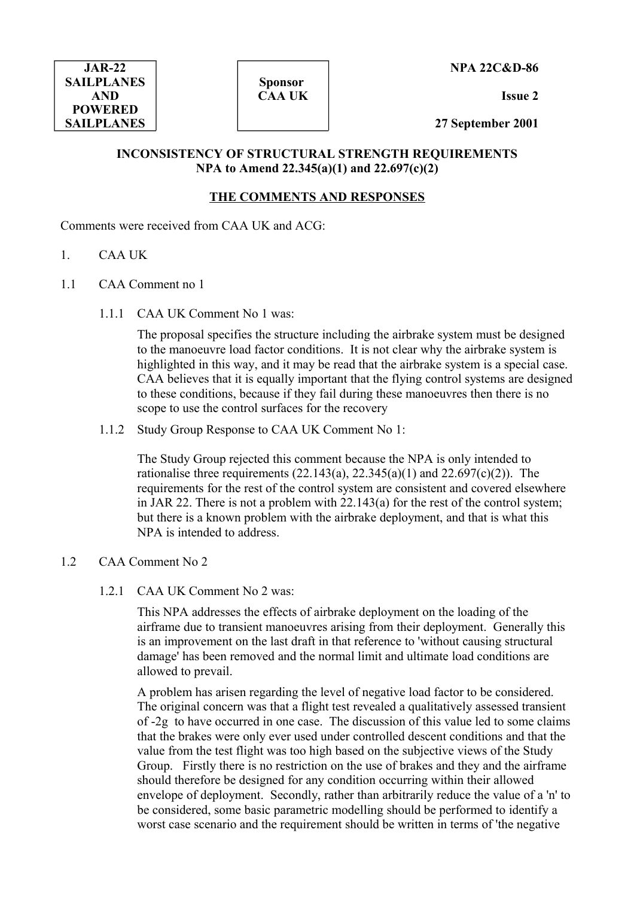**NPA 22C&D-86**

**Issue 2**

**27 September 2001**

## **INCONSISTENCY OF STRUCTURAL STRENGTH REQUIREMENTS NPA to Amend 22.345(a)(1) and 22.697(c)(2)**

**Sponsor CAA UK**

## **THE COMMENTS AND RESPONSES**

Comments were received from CAA UK and ACG:

1. CAA UK

**JAR-22 SAILPLANES AND POWERED SAILPLANES**

- 1.1 CAA Comment no 1
	- 1.1.1 CAA UK Comment No 1 was:

The proposal specifies the structure including the airbrake system must be designed to the manoeuvre load factor conditions. It is not clear why the airbrake system is highlighted in this way, and it may be read that the airbrake system is a special case. CAA believes that it is equally important that the flying control systems are designed to these conditions, because if they fail during these manoeuvres then there is no scope to use the control surfaces for the recovery

1.1.2 Study Group Response to CAA UK Comment No 1:

The Study Group rejected this comment because the NPA is only intended to rationalise three requirements  $(22.143(a), 22.345(a)(1)$  and  $22.697(c)(2)$ ). The requirements for the rest of the control system are consistent and covered elsewhere in JAR 22. There is not a problem with 22.143(a) for the rest of the control system; but there is a known problem with the airbrake deployment, and that is what this NPA is intended to address.

## 1.2 CAA Comment No 2

1.2.1 CAA UK Comment No 2 was:

This NPA addresses the effects of airbrake deployment on the loading of the airframe due to transient manoeuvres arising from their deployment. Generally this is an improvement on the last draft in that reference to 'without causing structural damage' has been removed and the normal limit and ultimate load conditions are allowed to prevail.

A problem has arisen regarding the level of negative load factor to be considered. The original concern was that a flight test revealed a qualitatively assessed transient of -2g to have occurred in one case. The discussion of this value led to some claims that the brakes were only ever used under controlled descent conditions and that the value from the test flight was too high based on the subjective views of the Study Group. Firstly there is no restriction on the use of brakes and they and the airframe should therefore be designed for any condition occurring within their allowed envelope of deployment. Secondly, rather than arbitrarily reduce the value of a 'n' to be considered, some basic parametric modelling should be performed to identify a worst case scenario and the requirement should be written in terms of 'the negative